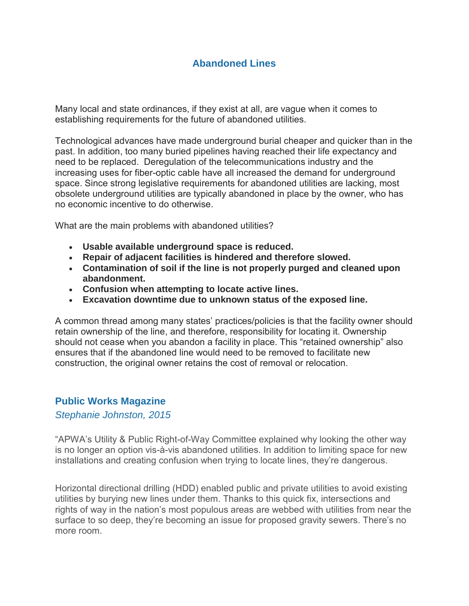# **Abandoned Lines**

Many local and state ordinances, if they exist at all, are vague when it comes to establishing requirements for the future of abandoned utilities.

Technological advances have made underground burial cheaper and quicker than in the past. In addition, too many buried pipelines having reached their life expectancy and need to be replaced. Deregulation of the telecommunications industry and the increasing uses for fiber-optic cable have all increased the demand for underground space. Since strong legislative requirements for abandoned utilities are lacking, most obsolete underground utilities are typically abandoned in place by the owner, who has no economic incentive to do otherwise.

What are the main problems with abandoned utilities?

- **Usable available underground space is reduced.**
- **Repair of adjacent facilities is hindered and therefore slowed.**
- **Contamination of soil if the line is not properly purged and cleaned upon abandonment.**
- **Confusion when attempting to locate active lines.**
- **Excavation downtime due to unknown status of the exposed line.**

A common thread among many states' practices/policies is that the facility owner should retain ownership of the line, and therefore, responsibility for locating it. Ownership should not cease when you abandon a facility in place. This "retained ownership" also ensures that if the abandoned line would need to be removed to facilitate new construction, the original owner retains the cost of removal or relocation.

## **Public Works Magazine**

*Stephanie Johnston, 2015*

"APWA's Utility & Public Right-of-Way Committee explained why looking the other way is no longer an option vis-à-vis abandoned utilities. In addition to limiting space for new installations and creating confusion when trying to locate lines, they're dangerous.

Horizontal directional drilling (HDD) enabled public and private utilities to avoid existing utilities by burying new lines under them. Thanks to this quick fix, intersections and rights of way in the nation's most populous areas are webbed with utilities from near the surface to so deep, they're becoming an issue for proposed gravity sewers. There's no more room.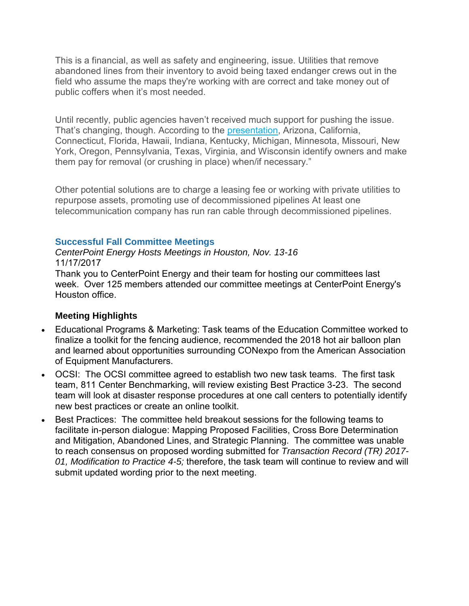This is a financial, as well as safety and engineering, issue. Utilities that remove abandoned lines from their inventory to avoid being taxed endanger crews out in the field who assume the maps they're working with are correct and take money out of public coffers when it's most needed.

Until recently, public agencies haven't received much support for pushing the issue. That's changing, though. According to the [presentation,](http://cdnassets.hw.net/86/d1/cb48fb9f4b5ba298b29baa795fba/8795.pdf) Arizona, California, Connecticut, Florida, Hawaii, Indiana, Kentucky, Michigan, Minnesota, Missouri, New York, Oregon, Pennsylvania, Texas, Virginia, and Wisconsin identify owners and make them pay for removal (or crushing in place) when/if necessary."

Other potential solutions are to charge a leasing fee or working with private utilities to repurpose assets, promoting use of decommissioned pipelines At least one telecommunication company has run ran cable through decommissioned pipelines.

### **Successful Fall Committee Meetings**

*CenterPoint Energy Hosts Meetings in Houston, Nov. 13-16* 11/17/2017

Thank you to CenterPoint Energy and their team for hosting our committees last week. Over 125 members attended our committee meetings at CenterPoint Energy's Houston office.

### **Meeting Highlights**

- Educational Programs & Marketing: Task teams of the Education Committee worked to finalize a toolkit for the fencing audience, recommended the 2018 hot air balloon plan and learned about opportunities surrounding CONexpo from the American Association of Equipment Manufacturers.
- OCSI: The OCSI committee agreed to establish two new task teams. The first task team, 811 Center Benchmarking, will review existing Best Practice 3-23. The second team will look at disaster response procedures at one call centers to potentially identify new best practices or create an online toolkit.
- Best Practices: The committee held breakout sessions for the following teams to facilitate in-person dialogue: Mapping Proposed Facilities, Cross Bore Determination and Mitigation, Abandoned Lines, and Strategic Planning. The committee was unable to reach consensus on proposed wording submitted for *Transaction Record (TR) 2017- 01, Modification to Practice 4-5;* therefore, the task team will continue to review and will submit updated wording prior to the next meeting.